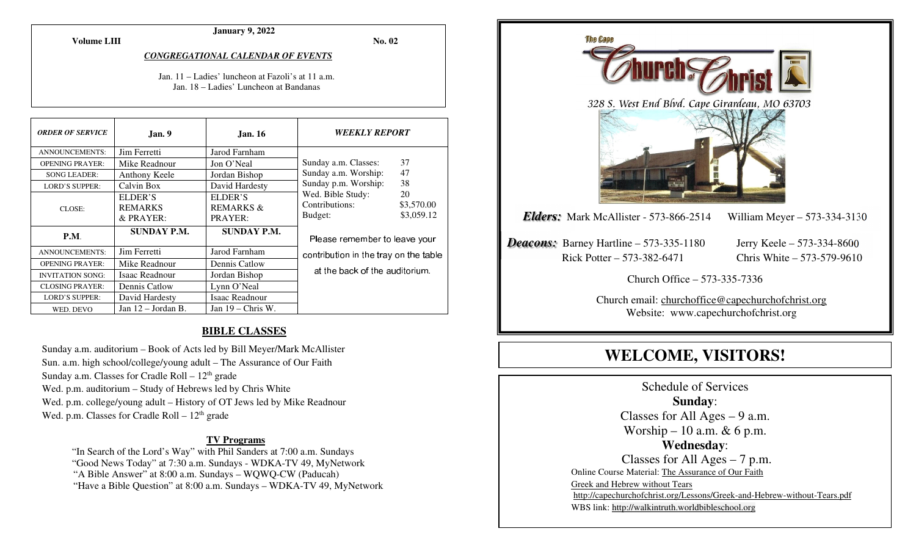**Volume LIII**

#### **January 9, 2022**

**No. 02** 

#### *CONGREGATIONAL CALENDAR OF EVENTS*

Jan. 11 – Ladies' luncheon at Fazoli's at 11 a.m. Jan. 18 – Ladies' Luncheon at Bandanas

| <b>ORDER OF SERVICE</b> | Jan. 9               | <b>Jan. 16</b>       | <b>WEEKLY REPORT</b>                  |            |
|-------------------------|----------------------|----------------------|---------------------------------------|------------|
| <b>ANNOUNCEMENTS:</b>   | Jim Ferretti         | Jarod Farnham        |                                       |            |
| <b>OPENING PRAYER:</b>  | Mike Readnour        | Jon O'Neal           | Sunday a.m. Classes:                  | 37         |
| <b>SONG LEADER:</b>     | Anthony Keele        | Jordan Bishop        | Sunday a.m. Worship:                  | 47         |
| <b>LORD'S SUPPER:</b>   | Calvin Box           | David Hardesty       | Sunday p.m. Worship:                  | 38         |
| CLOSE:                  | ELDER'S              | ELDER'S              | Wed. Bible Study:<br>20               |            |
|                         | <b>REMARKS</b>       | <b>REMARKS &amp;</b> | Contributions:                        | \$3,570.00 |
|                         | $&$ PRAYER:          | PRAYER:              | Budget:                               | \$3,059.12 |
| P.M.                    | <b>SUNDAY P.M.</b>   | <b>SUNDAY P.M.</b>   | Please remember to leave your         |            |
| <b>ANNOUNCEMENTS:</b>   | Jim Ferretti         | Jarod Farnham        | contribution in the tray on the table |            |
| <b>OPENING PRAYER:</b>  | Mike Readnour        | Dennis Catlow        |                                       |            |
| <b>INVITATION SONG:</b> | Isaac Readnour       | Jordan Bishop        | at the back of the auditorium.        |            |
| <b>CLOSING PRAYER:</b>  | Dennis Catlow        | Lynn O'Neal          |                                       |            |
| <b>LORD'S SUPPER:</b>   | David Hardesty       | Isaac Readnour       |                                       |            |
| WED. DEVO               | Jan $12$ – Jordan B. | Jan $19$ – Chris W.  |                                       |            |

#### **BIBLE CLASSES**

Sunday a.m. auditorium – Book of Acts led by Bill Meyer/Mark McAllister Sun. a.m. high school/college/young adult – The Assurance of Our Faith Sunday a.m. Classes for Cradle Roll  $-12<sup>th</sup>$  grade Wed. p.m. auditorium – Study of Hebrews led by Chris White Wed. p.m. college/young adult – History of OT Jews led by Mike Readnour Wed. p.m. Classes for Cradle Roll  $-12<sup>th</sup>$  grade

#### **TV Programs**

 "In Search of the Lord's Way" with Phil Sanders at 7:00 a.m. Sundays "Good News Today" at 7:30 a.m. Sundays - WDKA-TV 49, MyNetwork "A Bible Answer" at 8:00 a.m. Sundays – WQWQ-CW (Paducah) "Have a Bible Question" at 8:00 a.m. Sundays – WDKA-TV 49, MyNetwork



# **WELCOME, VISITORS!**

Schedule of Services **Sunday**: Classes for All Ages  $-9$  a.m. Worship – 10 a.m.  $& 6$  p.m. **Wednesday**: Classes for All Ages – 7 p.m. Online Course Material: The Assurance of Our Faith Greek and Hebrew without Tears http://capechurchofchrist.org/Lessons/Greek-and-Hebrew-without-Tears.pdfWBS link: http://walkintruth.worldbibleschool.org